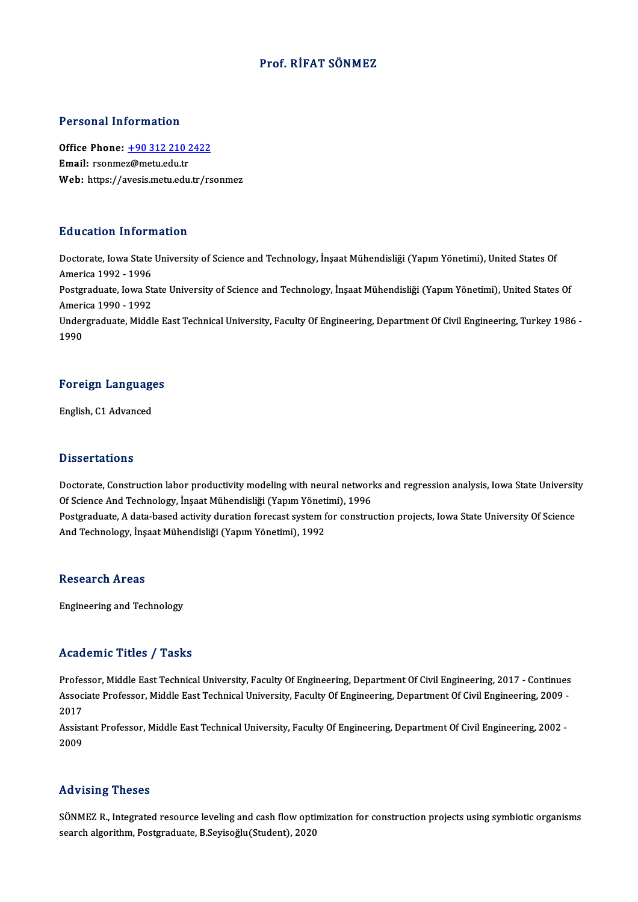### Prof. RİFAT SÖNMEZ

#### Personal Information

Personal Information<br>Office Phone: <u>+90 312 210 2422</u><br>Email: rearmaz@matuedu.tr Procedure interests<br>Office Phone: <u>+90 312 210 2</u><br>Email: rsonme[z@metu.edu.tr](tel:+90 312 210 2422) Email: rsonmez@metu.edu.tr<br>Web: https://avesis.metu.edu.tr/rsonmez

#### Education Information

Education Information<br>Doctorate, Iowa State University of Science and Technology, İnşaat Mühendisliği (Yapım Yönetimi), United States Of<br>America 1992, 1996 Audition Information<br>Doctorate, Iowa State<br>America 1992 - 1996<br>Postareduate, Iowa St Doctorate, Iowa State University of Science and Technology, İnşaat Mühendisliği (Yapım Yönetimi), United States Of<br>America 1992 - 1996<br>Postgraduate, Iowa State University of Science and Technology, İnşaat Mühendisliği (Yap America 1992 - 1996<br>Postgraduate, Iowa St<br>America 1990 - 1992<br>Undergraduate, Middl

Postgraduate, Iowa State University of Science and Technology, İnşaat Mühendisliği (Yapım Yönetimi), United States Of<br>America 1990 - 1992<br>Undergraduate, Middle East Technical University, Faculty Of Engineering, Department America 1990 - 1992<br>Undergraduate, Middle East Technical University, Faculty Of Engineering, Department Of Civil Engineering, Turkey 1986 -<br>1990

## 1<sup>990</sup><br>Foreign Languages <mark>Foreign Languag</mark><br>English, C1 Advanced

English, C1 Advanced<br>Dissertations

Dissertations<br>Doctorate, Construction labor productivity modeling with neural networks and regression analysis, Iowa State University<br>Of Science And Technology, Insest Mühandisliği (Yonum Yönetimi), 1996 Of Science<br>Doctorate, Construction labor productivity modeling with neural networl<br>Of Science And Technology, İnşaat Mühendisliği (Yapım Yönetimi), 1996<br>Postanaduata A data based astivity duration foresest system for senst Doctorate, Construction labor productivity modeling with neural networks and regression analysis, Iowa State Universit<br>Of Science And Technology, İnşaat Mühendisliği (Yapım Yönetimi), 1996<br>Postgraduate, A data-based activi Of Science And Technology, İnşaat Mühendisliği (Yapım Yönetimi), 1996<br>Postgraduate, A data-based activity duration forecast system for construction projects, Iowa State University Of Science<br>And Technology, İnşaat Mühendis

#### **Research Areas**

Engineering andTechnology

#### Academic Titles / Tasks

Professor, Middle East Technical University, Faculty Of Engineering, Department Of Civil Engineering, 2017 - Continues AssociateMice Profes / Profes<br>Professor, Middle East Technical University, Faculty Of Engineering, Department Of Civil Engineering, 2017 - Continues<br>Associate Professor, Middle East Technical University, Faculty Of Enginee Profes<br>Assoc<br>2017<br>Assist Associate Professor, Middle East Technical University, Faculty Of Engineering, Department Of Civil Engineering, 2009 -<br>2017<br>Assistant Professor, Middle East Technical University, Faculty Of Engineering, Department Of Civil

2017<br>Assistant Professor, Middle East Technical University, Faculty Of Engineering, Department Of Civil Engineering, 2002 -<br>2009

#### Advising Theses

SÖNMEZ R., Integrated resource leveling and cash flow optimization for construction projects using symbiotic organisms search algorithm, Postgraduate, B.Seyisoğlu(Student), 2020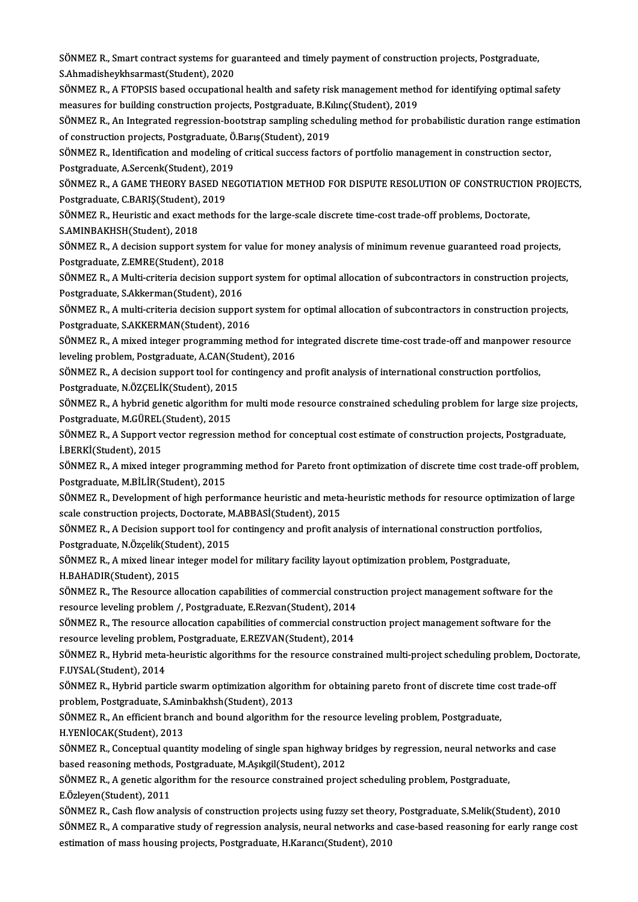SÖNMEZ R., Smart contract systems for guaranteed and timely payment of construction projects, Postgraduate,<br>S.Ahmedishevkbeermeet(Student), 2020 SÖNMEZ R., Smart contract systems for g<br>S.Ahmadisheykhsarmast(Student), 2020<br>SÖNMEZ B. A ETORSIS based essunation SÖNMEZ R., Smart contract systems for guaranteed and timely payment of construction projects, Postgraduate,<br>S.Ahmadisheykhsarmast(Student), 2020<br>SÖNMEZ R., A FTOPSIS based occupational health and safety risk management met

S.Ahmadisheykhsarmast(Student), 2020<br>SÖNMEZ R., A FTOPSIS based occupational health and safety risk management meth<br>measures for building construction projects, Postgraduate, B.Kılınç(Student), 2019<br>SÖNMEZ B. An Integrated SÖNMEZ R., A FTOPSIS based occupational health and safety risk management method for identifying optimal safety<br>measures for building construction projects, Postgraduate, B.Kılınç(Student), 2019<br>SÖNMEZ R., An Integrated re

measures for building construction projects, Postgraduate, B.K.<br>SÖNMEZ R., An Integrated regression-bootstrap sampling sched<br>of construction projects, Postgraduate, Ö.Barış(Student), 2019<br>SÖNMEZ B. Idontification and model SÖNMEZ R., An Integrated regression-bootstrap sampling scheduling method for probabilistic duration range estin<br>of construction projects, Postgraduate, Ö.Barış(Student), 2019<br>SÖNMEZ R., Identification and modeling of criti

of construction projects, Postgraduate, Ö.Barış(Student), 2019<br>SÖNMEZ R., Identification and modeling of critical success factors of portfolio management in construction sector,<br>Postgraduate, A.Sercenk(Student), 2019 SÖNMEZ R., Identification and modeling of critical success factors of portfolio management in construction sector,<br>Postgraduate, A.Sercenk(Student), 2019<br>SÖNMEZ R., A GAME THEORY BASED NEGOTIATION METHOD FOR DISPUTE RESOLU

Postgraduate, A.Sercenk(Student), 201<br>SÖNMEZ R., A GAME THEORY BASED N<br>Postgraduate, C.BARIŞ(Student), 2019<br>SÖNMEZ B. Hauristis and avast mathas SÖNMEZ R., A GAME THEORY BASED NEGOTIATION METHOD FOR DISPUTE RESOLUTION OF CONSTRUCTION<br>Postgraduate, C.BARIŞ(Student), 2019<br>SÖNMEZ R., Heuristic and exact methods for the large-scale discrete time-cost trade-off problems

Postgraduate, C.BARIŞ(Student),<br>SÖNMEZ R., Heuristic and exact r<br>S.AMINBAKHSH(Student), 2018<br>SÖNMEZ B. A decision sunnert s SÖNMEZ R., Heuristic and exact methods for the large-scale discrete time-cost trade-off problems, Doctorate,<br>S.AMINBAKHSH(Student), 2018<br>SÖNMEZ R., A decision support system for value for money analysis of minimum revenue

S.AMINBAKHSH(Student), 2018<br>SÖNMEZ R., A decision support system for value for money analysis of minimum revenue guaranteed road projects,<br>Postgraduate, Z.EMRE(Student), 2018 SÖNMEZ R., A decision support system for value for money analysis of minimum revenue guaranteed road projects,<br>Postgraduate, Z.EMRE(Student), 2018<br>SÖNMEZ R., A Multi-criteria decision support system for optimal allocation

Postgraduate, Z.EMRE(Student), 2018<br>SÖNMEZ R., A Multi-criteria decision suppo<br>Postgraduate, S.Akkerman(Student), 2016<br>SÖNMEZ B. A multi-gritoria decision suppo SÖNMEZ R., A Multi-criteria decision support system for optimal allocation of subcontractors in construction projects,<br>Postgraduate, S.Akkerman(Student), 2016<br>SÖNMEZ R., A multi-criteria decision support system for optimal

Postgraduate, S.Akkerman(Student), 2016<br>SÖNMEZ R., A multi-criteria decision support system for optimal allocation of subcontractors in construction projects,<br>Postgraduate, S.AKKERMAN(Student), 2016 SÖNMEZ R., A multi-criteria decision support system for optimal allocation of subcontractors in construction projects,<br>Postgraduate, S.AKKERMAN(Student), 2016<br>SÖNMEZ R., A mixed integer programming method for integrated di

Postgraduate, S.AKKERMAN(Student), 2016<br>SÖNMEZ R., A mixed integer programming method for i<br>leveling problem, Postgraduate, A.CAN(Student), 2016<br>SÖNMEZ B. A desision sunnent tool for sontingensy on SÖNMEZ R., A mixed integer programming method for integrated discrete time-cost trade-off and manpower re<br>leveling problem, Postgraduate, A.CAN(Student), 2016<br>SÖNMEZ R., A decision support tool for contingency and profit a

leveling problem, Postgraduate, A.CAN(Student), 2016<br>SÖNMEZ R., A decision support tool for contingency and profit analysis of international construction portfolios,<br>Postgraduate, N.ÖZÇELİK(Student), 2015 SÖNMEZ R., A decision support tool for contingency and profit analysis of international construction portfolios,<br>Postgraduate, N.ÖZÇELİK(Student), 2015<br>SÖNMEZ R., A hybrid genetic algorithm for multi mode resource constrai

Postgraduate, N.ÖZÇELİK(Student), 201!<br>SÖNMEZ R., A hybrid genetic algorithm f<br>Postgraduate, M.GÜREL(Student), 2015<br>SÖNMEZ B. A Sunnort yester regression SÖNMEZ R., A hybrid genetic algorithm for multi mode resource constrained scheduling problem for large size projec<br>Postgraduate, M.GÜREL(Student), 2015<br>SÖNMEZ R., A Support vector regression method for conceptual cost esti

Postgraduate, M.GÜREL(Student), 2015<br>SÖNMEZ R., A Support vector regression method for conceptual cost estimate of construction projects, Postgraduate,<br>İ.BERKİ(Student), 2015 SÖNMEZ R., A Support vector regression method for conceptual cost estimate of construction projects, Postgraduate,<br>İ.BERKİ(Student), 2015<br>SÖNMEZ R., A mixed integer programming method for Pareto front optimization of discr

İ.BERKİ(Student), 2015<br>SÖNMEZ R., A mixed integer programm<br>Postgraduate, M.BİLİR(Student), 2015<br>SÖNMEZ B. Dovelopment of bish perfe SÖNMEZ R., A mixed integer programming method for Pareto front optimization of discrete time cost trade-off problem,<br>Postgraduate, M.BİLİR(Student), 2015<br>SÖNMEZ R., Development of high performance heuristic and meta-heuris

Postgraduate, M.BİLİR(Student), 2015<br>SÖNMEZ R., Development of high performance heuristic and meta<br>scale construction projects, Doctorate, M.ABBASİ(Student), 2015<br>SÖNMEZ B. A Desision sunnert tool for contingensy and profi SÖNMEZ R., Development of high performance heuristic and meta-heuristic methods for resource optimization of<br>scale construction projects, Doctorate, M.ABBASİ(Student), 2015<br>SÖNMEZ R., A Decision support tool for contingenc

scale construction projects, Doctorate, M.ABBASİ(Student), 2015<br>SÖNMEZ R., A Decision support tool for contingency and profit analysis of international construction poi<br>Postgraduate, N.Özçelik(Student), 2015<br>SÖNMEZ R., A m SÖNMEZ R., A Decision support tool for contingency and profit analysis of international construction portfolios,<br>Postgraduate, N.Özçelik(Student), 2015<br>SÖNMEZ R., A mixed linear integer model for military facility layout o Postgraduate, N.Özçelik(Student), 2015

SÖNMEZ R., A mixed linear integer model for military facility layout optimization problem, Postgraduate,<br>H.BAHADIR(Student), 2015<br>SÖNMEZ R., The Resource allocation capabilities of commercial construction project managemen

H.BAHADIR(Student), 2015<br>SÖNMEZ R., The Resource allocation capabilities of commercial constr<br>resource leveling problem /, Postgraduate, E.Rezvan(Student), 2014<br>SÖNMEZ R. The resource allocation capabilities of commencial SÖNMEZ R., The Resource allocation capabilities of commercial construction project management software for the<br>resource leveling problem /, Postgraduate, E.Rezvan(Student), 2014<br>SÖNMEZ R., The resource allocation capabilit

resource leveling problem /, Postgraduate, E.Rezvan(Student), 2014<br>SÖNMEZ R., The resource allocation capabilities of commercial constr<br>resource leveling problem, Postgraduate, E.REZVAN(Student), 2014<br>SÖNMEZ B. Hybrid meta SÖNMEZ R., The resource allocation capabilities of commercial construction project management software for the<br>resource leveling problem, Postgraduate, E.REZVAN(Student), 2014<br>SÖNMEZ R., Hybrid meta-heuristic algorithms fo

resource leveling probler<br>SÖNMEZ R., Hybrid meta-<br>F.UYSAL(Student), 2014<br>SÖNMEZ B., Hybrid parti SÖNMEZ R., Hybrid meta-heuristic algorithms for the resource constrained multi-project scheduling problem, Doct<br>F.UYSAL(Student), 2014<br>SÖNMEZ R., Hybrid particle swarm optimization algorithm for obtaining pareto front of d

F.UYSAL(Student), 2014<br>SÖNMEZ R., Hybrid particle swarm optimization algorit<br>problem, Postgraduate, S.Aminbakhsh(Student), 2013<br>SÖNMEZ B. An officient branch and bound algorithm f. SÖNMEZ R., Hybrid particle swarm optimization algorithm for obtaining pareto front of discrete time c<br>problem, Postgraduate, S.Aminbakhsh(Student), 2013<br>SÖNMEZ R., An efficient branch and bound algorithm for the resource l

problem, Postgraduate, S.Aminbakhsh(Student), 2013<br>SÖNMEZ R., An efficient branch and bound algorithm for the resource leveling problem, Postgraduate,<br>H.YENİOCAK(Student), 2013 SÖNMEZ R., An efficient branch and bound algorithm for the resource leveling problem, Postgraduate,<br>H.YENİOCAK(Student), 2013<br>SÖNMEZ R., Conceptual quantity modeling of single span highway bridges by regression, neural net

H.YENİOCAK(Student), 2013<br>SÖNMEZ R., Conceptual quantity modeling of single span highway b<br>based reasoning methods, Postgraduate, M.Aşıkgil(Student), 2012<br>SÖNMEZ B. A genetia algorithm for the reseures sonstrained proje SÖNMEZ R., Conceptual quantity modeling of single span highway bridges by regression, neural network<br>based reasoning methods, Postgraduate, M.Aşıkgil(Student), 2012<br>SÖNMEZ R., A genetic algorithm for the resource constrain

based reasoning methods, Postgraduate, M.Aşıkgil(Student), 2012<br>SÖNMEZ R., A genetic algorithm for the resource constrained project scheduling problem, Postgraduate,<br>E.Özleyen(Student), 2011

SÖNMEZ R., Cash flow analysis of construction projects using fuzzy set theory, Postgraduate, S.Melik(Student), 2010 SÖNMEZ R., A comparative study of regression analysis, neural networks and case-based reasoning for early range cost estimation of mass housing projects, Postgraduate, H.Karancı(Student), 2010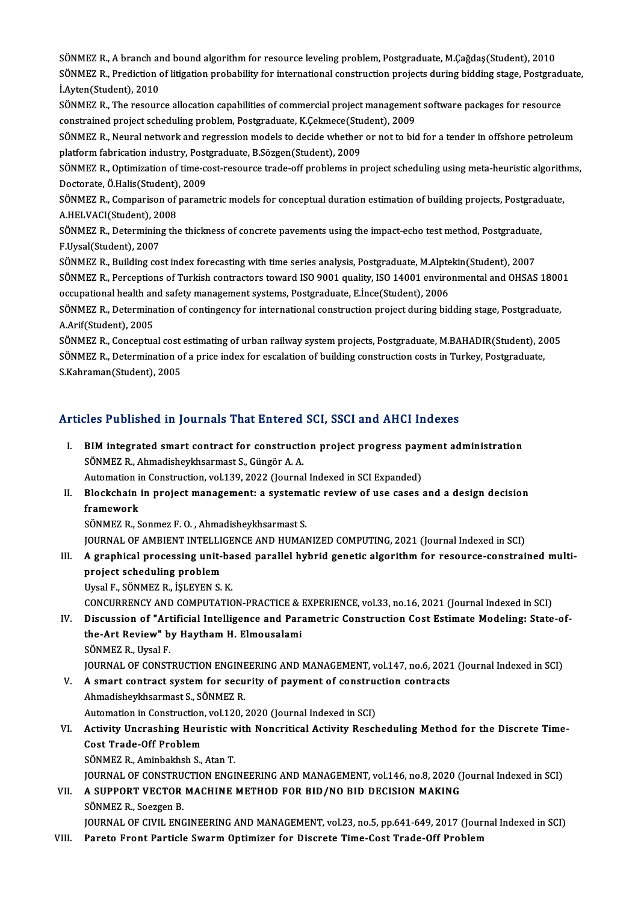SÖNMEZ R., A branch and bound algorithm for resource leveling problem, Postgraduate, M.Çağdaş(Student), 2010<br>SÖNMEZ B. Prodiction of litigation probability for international construction projects during bidding stage. Post SÖNMEZ R., A branch and bound algorithm for resource leveling problem, Postgraduate, M.Çağdaş(Student), 2010<br>SÖNMEZ R., Prediction of litigation probability for international construction projects during bidding stage, Pos SÖNMEZ R., A branch ar<br>SÖNMEZ R., Prediction<br>İ.Ayten(Student), 2010<br>SÖNMEZ B., The reseur SÖNMEZ R., Prediction of litigation probability for international construction projects during bidding stage, Postgradt<br>LAyten(Student), 2010<br>SÖNMEZ R., The resource allocation capabilities of commercial project management İ.Ayten(Student), 2010<br>SÖNMEZ R., The resource allocation capabilities of commercial project management software packages for resource

constrained project scheduling problem, Postgraduate, K.Çekmece(Student), 2009

SÖNMEZ R., Neural network and regression models to decide whether or not to bid for a tender in offshore petroleum SÖNMEZ R., Neural network and regression models to decide whether or not to bid for a tender in offshore petroleum<br>platform fabrication industry, Postgraduate, B.Sözgen(Student), 2009<br>SÖNMEZ R., Optimization of time-cost-r

platform fabrication industry, Postgraduate, B.Sözgen(Student), 2009<br>SÖNMEZ R., Optimization of time-cost-resource trade-off problems in<br>Doctorate, Ö.Halis(Student), 2009 SÖNMEZ R., Optimization of time-cost-resource trade-off problems in project scheduling using meta-heuristic algorith<br>Doctorate, Ö.Halis(Student), 2009<br>SÖNMEZ R., Comparison of parametric models for conceptual duration esti

Doctorate, Ö.Halis(Student)<br>SÖNMEZ R., Comparison of<br>A.HELVACI(Student), 2008<br>SÖNMEZ B., Determining the SÖNMEZ R., Comparison of parametric models for conceptual duration estimation of building projects, Postgrad<br>A.HELVACI(Student), 2008<br>SÖNMEZ R., Determining the thickness of concrete pavements using the impact-echo test me

A.HELVACI(Student), 2008<br>SÖNMEZ R., Determining the thickness of concrete pavements using the impact-echo test method, Postgraduate,<br>F.Uysal(Student), 2007 SÖNMEZ R., Determining the thickness of concrete pavements using the impact-echo test method, Postgraduate<br>F.Uysal(Student), 2007<br>SÖNMEZ R., Building cost index forecasting with time series analysis, Postgraduate, M.Alptek

F.Uysal(Student), 2007<br>SÖNMEZ R., Building cost index forecasting with time series analysis, Postgraduate, M.Alptekin(Student), 2007<br>SÖNMEZ R., Perceptions of Turkish contractors toward ISO 9001 quality, ISO 14001 environm SÖNMEZ R., Building cost index forecasting with time series analysis, Postgraduate, M.Alpte<br>SÖNMEZ R., Perceptions of Turkish contractors toward ISO 9001 quality, ISO 14001 enviro<br>occupational health and safety management SÖNMEZ R., Perceptions of Turkish contractors toward ISO 9001 quality, ISO 14001 environmental and OHSAS 18001<br>occupational health and safety management systems, Postgraduate, E.İnce(Student), 2006<br>SÖNMEZ R., Determination occupational health and safety management systems, Postgraduate, E.Ince(Student), 2006

SÖNMEZ R., Determination of contingency for international construction project during bidding stage, Postgraduate,<br>A.Arif(Student), 2005<br>SÖNMEZ R., Conceptual cost estimating of urban railway system projects, Postgraduate,

A.Arif(Student), 2005<br>SÖNMEZ R., Conceptual cost estimating of urban railway system projects, Postgraduate, M.BAHADIR(Student), 20<br>SÖNMEZ R., Determination of a price index for escalation of building construction costs in SÖNMEZ R., Conceptual cost<br>SÖNMEZ R., Determination o<br>S.Kahraman(Student), 2005

# Articles Published in Journals That Entered SCI, SSCI and AHCI Indexes

- rticles Published in Journals That Entered SCI, SSCI and AHCI Indexes<br>I. BIM integrated smart contract for construction project progress payment administration<br>SÖNMEZ B. Abmodisboykbaarmast S. Güngör A.A. SÖNMEZ R., Ahmadisheykhsarmast S., Güngör A. A. BIM integrated smart contract for construction project progress pay:<br>SÖNMEZ R., Ahmadisheykhsarmast S., Güngör A. A.<br>Automation in Construction, vol.139, 2022 (Journal Indexed in SCI Expanded)<br>Plaskshain in project managem II. Blockchain in project management: a systematic review of use cases and a design decision framework Automation in Construction, vol.139, 2022 (Journal Indexed in SCI Expanded) SÖNMEZ R., Sonmez F. O., Ahmadisheykhsarmast S. JOURNAL OF AMBIENT INTELLIGENCE AND HUMANIZED COMPUTING, 2021 (Journal Indexed in SCI) SÖNMEZ R., Sonmez F. O. , Ahmadisheykhsarmast S.<br>JOURNAL OF AMBIENT INTELLIGENCE AND HUMANIZED COMPUTING, 2021 (Journal Indexed in SCI)<br>III. A graphical processing unit-based parallel hybrid genetic algorithm for resou **JOURNAL OF AMBIENT INTELLION**<br>**A graphical processing unit-lyproject scheduling problem**<br>Urgel E. SÖNMEZ P. ist EVEN S A graphical processing unit-ba<br>project scheduling problem<br>Uysal F., SÖNMEZ R., İŞLEYEN S. K.<br>CONCUPPENCY AND COMPUTATIC project scheduling problem<br>Uysal F., SÖNMEZ R., İŞLEYEN S. K.<br>CONCURRENCY AND COMPUTATION-PRACTICE & EXPERIENCE, vol.33, no.16, 2021 (Journal Indexed in SCI)<br>Discussion of "Artificial Intelligence and Perametric Constructi Uysal F., SÖNMEZ R., İŞLEYEN S. K.<br>CONCURRENCY AND COMPUTATION-PRACTICE & EXPERIENCE, vol.33, no.16, 2021 (Journal Indexed in SCI)<br>IV. Discussion of "Artificial Intelligence and Parametric Construction Cost Estimate Mo CONCURRENCY AND COMPUTATION-PRACTICE & I<br>Discussion of "Artificial Intelligence and Part<br>the-Art Review" by Haytham H. Elmousalami<br>SÖNMEZ B. Hygal E IV. Discussion of "Artificial Intelligence and Parametric Construction Cost Estimate Modeling: State-of-<br>the-Art Review" by Haytham H. Elmousalami<br>SÖNMEZ R., Uysal F. the-Art Review" by Haytham H. Elmousalami<br>SÖNMEZ R., Uysal F.<br>JOURNAL OF CONSTRUCTION ENGINEERING AND MANAGEMENT, vol.147, no.6, 2021 (Journal Indexed in SCI)<br>A smart sentrast system for sequrity of nayment of senstruction SÖNMEZ R., Uysal F.<br>JOURNAL OF CONSTRUCTION ENGINEERING AND MANAGEMENT, vol.147, no.6, 2021<br>V. A smart contract system for security of payment of construction contracts<br>Ahmodishevkhearmest S. SÖNMEZ B. JOURNAL OF CONSTRUCTION ENGINE<br>A smart contract system for secu<br>Ahmadisheykhsarmast S., SÖNMEZ R.<br>Automation in Construction vol 120 V. A smart contract system for security of payment of construction contracts<br>Ahmadisheykhsarmast S., SÖNMEZ R.<br>Automation in Construction, vol.120, 2020 (Journal Indexed in SCI) Ahmadisheykhsarmast S., SÖNMEZ R.<br>Automation in Construction, vol.120, 2020 (Journal Indexed in SCI)<br>VI. Activity Uncrashing Heuristic with Noncritical Activity Rescheduling Method for the Discrete Time-<br>Cest Trade Off Bro Automation in Construction<br>Activity Uncrashing Heur<br>Cost Trade-Off Problem<br>SÖNMEZ B. Aminbakbab S Activity Uncrashing Heuristic w<br>Cost Trade-Off Problem<br>SÖNMEZ R., Aminbakhsh S., Atan T.<br>JOUPNAL OF CONSTRUCTION ENCL Cost Trade-Off Problem<br>SÖNMEZ R., Aminbakhsh S., Atan T.<br>JOURNAL OF CONSTRUCTION ENGINEERING AND MANAGEMENT, vol.146, no.8, 2020 (Journal Indexed in SCI) SÖNMEZ R., Aminbakhsh S., Atan T.<br>JOURNAL OF CONSTRUCTION ENGINEERING AND MANAGEMENT, vol.146, no.8, 2020 (<br>VII. – A SUPPORT VECTOR MACHINE METHOD FOR BID/NO BID DECISION MAKING<br>SÖNMEZ B. SOSZSOR B **JOURNAL OF CONSTRU<br>A SUPPORT VECTOR<br>SÖNMEZ R., Soezgen B.<br>JOUPMAL OF CWU, ENG** SÖNMEZ R., Soezgen B.<br>JOURNAL OF CIVIL ENGINEERING AND MANAGEMENT, vol.23, no.5, pp.641-649, 2017 (Journal Indexed in SCI)
- VIII. Pareto Front Particle Swarm Optimizer for Discrete Time-Cost Trade-Off Problem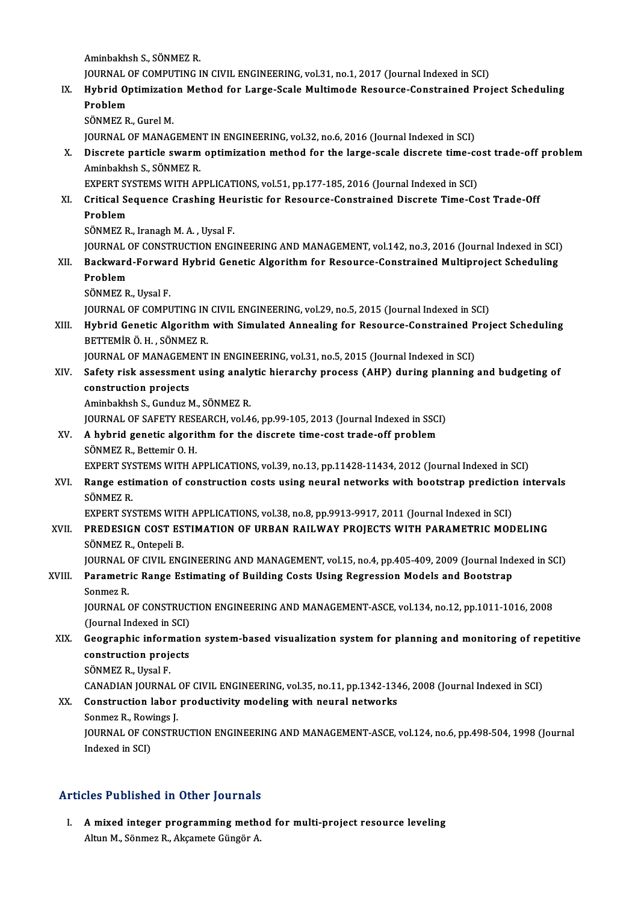Aminbakhsh S.,SÖNMEZR. Aminbakhsh S., SÖNMEZ R.<br>JOURNAL OF COMPUTING IN CIVIL ENGINEERING, vol.31, no.1, 2017 (Journal Indexed in SCI)<br>Hybrid Optimization Mathod for Large Saele Multimode Beseurse Constrained Prei Aminbakhsh S., SÖNMEZ R.<br>JOURNAL OF COMPUTING IN CIVIL ENGINEERING, vol.31, no.1, 2017 (Journal Indexed in SCI)<br>IX. Hybrid Optimization Method for Large-Scale Multimode Resource-Constrained Project Scheduling<br>Rushlam JOURNAL<br><mark>Hybrid O<sub>l</sub><br>Problem</mark><br>SÖNMEZ P Hybrid Optimizatio<br>Problem<br>SÖNMEZ R., Gurel M.<br>JOUPNAL OF MANAC Problem<br>SÖNMEZ R., Gurel M.<br>JOURNAL OF MANAGEMENT IN ENGINEERING, vol.32, no.6, 2016 (Journal Indexed in SCI) SÖNMEZ R., Gurel M.<br>JOURNAL OF MANAGEMENT IN ENGINEERING, vol.32, no.6, 2016 (Journal Indexed in SCI)<br>X. Discrete particle swarm optimization method for the large-scale discrete time-cost trade-off problem<br>Aminbekkeb S **JOURNAL OF MANAGEMEN<br>Discrete particle swarm<br>Aminbakhsh S., SÖNMEZ R.<br>EYBERT SYSTEMS WITH AE** Discrete particle swarm optimization method for the large-scale discrete time-co<br>Aminbakhsh S., SÖNMEZ R.<br>EXPERT SYSTEMS WITH APPLICATIONS, vol.51, pp.177-185, 2016 (Journal Indexed in SCI)<br>Critical Sequence Creshing Houri Aminbakhsh S., SÖNMEZ R.<br>EXPERT SYSTEMS WITH APPLICATIONS, vol.51, pp.177-185, 2016 (Journal Indexed in SCI)<br>XI. Critical Sequence Crashing Heuristic for Resource-Constrained Discrete Time-Cost Trade-Off EXPERT SY<br>Critical Se<br>Problem<br>SÖNMEZ B Critical Sequence Crashing Heu<br>Problem<br>SÖNMEZ R., Iranagh M. A. , Uysal F.<br>JOUPNAL OF CONSTRUCTION ENCI Problem<br>SÖNMEZ R., Iranagh M. A. , Uysal F.<br>JOURNAL OF CONSTRUCTION ENGINEERING AND MANAGEMENT, vol.142, no.3, 2016 (Journal Indexed in SCI) SÖNMEZ R., Iranagh M. A. , Uysal F.<br>JOURNAL OF CONSTRUCTION ENGINEERING AND MANAGEMENT, vol.142, no.3, 2016 (Journal Indexed in SCI)<br>XII. Backward-Forward Hybrid Genetic Algorithm for Resource-Constrained Multiproject **JOURNAL**<br><mark>Backward</mark><br>Problem<br>SÖNMEZ P Backward-Forwar<br>Problem<br>SÖNMEZ R., Uysal F.<br>JOUPNAL OF COMPL Problem<br>SÖNMEZ R., Uysal F.<br>JOURNAL OF COMPUTING IN CIVIL ENGINEERING, vol.29, no.5, 2015 (Journal Indexed in SCI) SÖNMEZ R., Uysal F.<br>JOURNAL OF COMPUTING IN CIVIL ENGINEERING, vol.29, no.5, 2015 (Journal Indexed in SCI)<br>XIII. Hybrid Genetic Algorithm with Simulated Annealing for Resource-Constrained Project Scheduling<br>RETTEMIR Ö. JOURNAL OF COMPUTING IN<br>Hybrid Genetic Algorithm<br>BETTEMİR Ö. H. , SÖNMEZ R.<br>JOUPNAL OF MANACEMENT Hybrid Genetic Algorithm with Simulated Annealing for Resource-Constrained P<br>BETTEMİR Ö.H., SÖNMEZ R.<br>JOURNAL OF MANAGEMENT IN ENGINEERING, vol.31, no.5, 2015 (Journal Indexed in SCI)<br>Sefety rick assessment using analytic BETTEMİR Ö.H., SÖNMEZ R.<br>JOURNAL OF MANAGEMENT IN ENGINEERING, vol.31, no.5, 2015 (Journal Indexed in SCI)<br>XIV. Safety risk assessment using analytic hierarchy process (AHP) during planning and budgeting of<br>constructio JOURNAL OF MANAGEMENT IN ENGINEERING, vol.31, no.5, 2015 (Journal Indexed in SCI)<br>Safety risk assessment using analytic hierarchy process (AHP) during planning<br>construction projects<br>Aminbakhsh S., Gunduz M., SÖNMEZ R. Safety risk assessment using analy<br>construction projects<br>Aminbakhsh S., Gunduz M., SÖNMEZ R.<br>JOUPMAL OF SAEFTY PESEAPCH vol.4 construction projects<br>Aminbakhsh S., Gunduz M., SÖNMEZ R.<br>JOURNAL OF SAFETY RESEARCH, vol.46, pp.99-105, 2013 (Journal Indexed in SSCI)<br>A hybrid genetis alsorithm for the diserate time seet trade off problem Aminbakhsh S., Gunduz M., SÖNMEZ R.<br>JOURNAL OF SAFETY RESEARCH, vol.46, pp.99-105, 2013 (Journal Indexed in SSCI<br>XV. A hybrid genetic algorithm for the discrete time-cost trade-off problem<br>SÖNMEZ B. Pettemir O. H **JOURNAL OF SAFETY RESE<br>A hybrid genetic algori<br>SÖNMEZ R., Bettemir O. H.<br>EYBERT SVSTEMS WITH A** XV. A hybrid genetic algorithm for the discrete time-cost trade-off problem<br>SÖNMEZ R., Bettemir O. H.<br>EXPERT SYSTEMS WITH APPLICATIONS, vol.39, no.13, pp.11428-11434, 2012 (Journal Indexed in SCI) SÖNMEZ R., Bettemir O. H.<br>EXPERT SYSTEMS WITH APPLICATIONS, vol.39, no.13, pp.11428-11434, 2012 (Journal Indexed in SCI)<br>XVI. Range estimation of construction costs using neural networks with bootstrap prediction inter EXPERT SYS<br>Range esti<br>SÖNMEZ R.<br>EVPEPT SVS Range estimation of construction costs using neural networks with bootstrap prediction<br>SÖNMEZ R.<br>EXPERT SYSTEMS WITH APPLICATIONS, vol.38, no.8, pp.9913-9917, 2011 (Journal Indexed in SCI)<br>PREDESICN COST ESTIMATION OF URRA SÖNMEZ R.<br>EXPERT SYSTEMS WITH APPLICATIONS, vol.38, no.8, pp.9913-9917, 2011 (Journal Indexed in SCI)<br>XVII. PREDESIGN COST ESTIMATION OF URBAN RAILWAY PROJECTS WITH PARAMETRIC MODELING<br>SÖNMEZ R. Ontepeli B. EXPERT SYSTEMS WITH APPLICATIONS, vol.38, no.8, pp.9913-9917, 2011 (Journal Indexed in SCI) PREDESIGN COST ESTIMATION OF URBAN RAILWAY PROJECTS WITH PARAMETRIC MODELING<br>SÖNMEZ R., Ontepeli B.<br>JOURNAL OF CIVIL ENGINEERING AND MANAGEMENT, vol.15, no.4, pp.405-409, 2009 (Journal Indexed in SCI)<br>Persynatric Bange Est SÖNMEZ R., Ontepeli B.<br>JOURNAL OF CIVIL ENGINEERING AND MANAGEMENT, vol.15, no.4, pp.405-409, 2009 (Journal Index<br>XVIII. Parametric Range Estimating of Building Costs Using Regression Models and Bootstrap JOURNAL<br>Parametr<br>Sonmez R.<br>JOURNAL Parametric Range Estimating of Building Costs Using Regression Models and Bootstrap<br>Sonmez R.<br>JOURNAL OF CONSTRUCTION ENGINEERING AND MANAGEMENT-ASCE, vol.134, no.12, pp.1011-1016, 2008<br>(Jaunnal Indoved in SCI) Sonmez R.<br>JOURNAL OF CONSTRUCT<br>(Journal Indexed in SCI)<br>Coographic informatic JOURNAL OF CONSTRUCTION ENGINEERING AND MANAGEMENT-ASCE, vol.134, no.12, pp.1011-1016, 2008<br>(Journal Indexed in SCI)<br>XIX. Geographic information system-based visualization system for planning and monitoring of repetitive<br>c (Journal Indexed in SCI)<br>Geographic information<br>construction projects<br>SÖNMEZ B. Hygal E **Geographic inform<br>construction proje<br>SÖNMEZ R., Uysal F.<br>CANADIAN IOUPNA** construction projects<br>SÖNMEZ R., Uysal F.<br>CANADIAN JOURNAL OF CIVIL ENGINEERING, vol.35, no.11, pp.1342-1346, 2008 (Journal Indexed in SCI)<br>Construction Jabor productivity modeling with noural natworks SÖNMEZ R., Uysal F.<br>CANADIAN JOURNAL OF CIVIL ENGINEERING, vol.35, no.11, pp.1342-134<br>XX. Construction labor productivity modeling with neural networks<br>Sonmez R., Rowings J. CANADIAN JOURNAL<br>Construction labor<br>Sonmez R., Rowings J.<br>JOUPNAL OF CONSTRI Construction labor productivity modeling with neural networks<br>Sonmez R., Rowings J.<br>JOURNAL OF CONSTRUCTION ENGINEERING AND MANAGEMENT-ASCE, vol.124, no.6, pp.498-504, 1998 (Journal<br>Indexed in SCD Sonmez R., Row<br>JOURNAL OF CO<br>Indexed in SCI)

# Articles Published in Other Journals

rticles Published in Other Journals<br>I. A mixed integer programming method for multi-project resource leveling A mixed integer programming method<br>Altun M., Sönmez R., Akçamete Güngör A.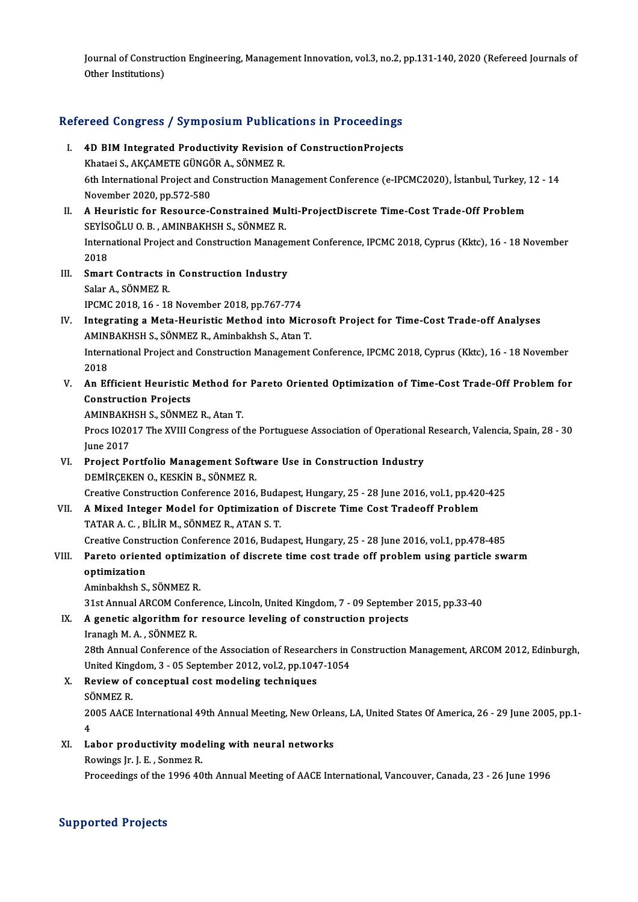Journal of Construction Engineering, Management Innovation, vol.3, no.2, pp.131-140, 2020 (Refereed Journals of<br>Other Institutione) Journal of Construd<br>Other Institutions)

# omer institutions)<br>Refereed Congress / Symposium Publications in Proceedings

- efereed Congress / Symposium Publications in Proceedings<br>I. 4D BIM Integrated Productivity Revision of ConstructionProjects<br>Khataei S. AKCAMETE CÜNCÖRA, SÖNMEZ B I. 4D BIM Integrated Productivity Revision of Construction Projects 6th International Project and Construction Management Conference (e-IPCMC2020), İstanbul, Turkey, 12 - 14<br>November 2020, pp.572-580 Khataei S., AKCAMETE GÜNGÖR A., SÖNMEZ R.
- II. A Heuristic for Resource-Constrained Multi-ProjectDiscrete Time-Cost Trade-Off Problem SEYİSOĞLU O.B., AMINBAKHSH S., SÖNMEZR. A Heuristic for Resource-Constrained Multi-ProjectDiscrete Time-Cost Trade-Off Problem<br>SEYİSOĞLU O. B. , AMINBAKHSH S., SÖNMEZ R.<br>International Project and Construction Management Conference, IPCMC 2018, Cyprus (Kktc), 16 SEYİS<br>Intern<br>2018<br>Smari International Project and Construction Manager<br>2018<br>III. Smart Contracts in Construction Industry<br>Selar A. SÖNMEZ P.
- 2018<br>III. Smart Contracts in Construction Industry<br>Salar A., SÖNMEZ R. IPCMC2018,16 -18November 2018,pp.767-774
- Salar A., SÖNMEZ R.<br>IPCMC 2018, 16 18 November 2018, pp.767-774<br>IV. Integrating a Meta-Heuristic Method into Microsoft Project for Time-Cost Trade-off Analyses<br>AMINPAVUSU S. SÖNMEZ R. Aminbakbab S. Atan T. IPCMC 2018, 16 - 18 November 2018, pp.767-774<br>Integrating a Meta-Heuristic Method into Micro<br>AMINBAKHSH S., SÖNMEZ R., Aminbakhsh S., Atan T.<br>International Project and Construction Management Integrating a Meta-Heuristic Method into Microsoft Project for Time-Cost Trade-off Analyses<br>AMINBAKHSH S., SÖNMEZ R., Aminbakhsh S., Atan T.<br>International Project and Construction Management Conference, IPCMC 2018, Cyprus AMINBAKHSH S., SÖNMEZ R., Aminbakhsh S., Atan T.<br>International Project and Construction Management Conference, IPCMC 2018, Cyprus (Kktc), 16 - 18 November<br>2018 International Project and Construction Management Conference, IPCMC 2018, Cyprus (Kktc), 16 - 18 November<br>2018<br>V. An Efficient Heuristic Method for Pareto Oriented Optimization of Time-Cost Trade-Off Problem for<br>Constructi
- 2018<br>An Efficient Heuristic<br>Construction Projects<br>AMINPAKHSHS SÖNME An Efficient Heuristic Method for<br>Construction Projects<br>AMINBAKHSH S., SÖNMEZ R., Atan T.<br>Procs 102017 The YVIII Congress of t

AMINBAKHSH S., SÖNMEZ R., Atan T.

Construction Projects<br>AMINBAKHSH S., SÖNMEZ R., Atan T.<br>Procs IO2017 The XVIII Congress of the Portuguese Association of Operational Research, Valencia, Spain, 28 - 30<br>June 2017 Procs I02017 The XVIII Congress of the Portuguese Association of Operational<br>June 2017<br>VI. Project Portfolio Management Software Use in Construction Industry<br>DEMIRCEVEN OVESVIN B SÖNMEZ B

- June 2017<br>Project Portfolio Management Softv<br>DEMİRÇEKEN O., KESKİN B., SÖNMEZ R.<br>Creative Construction Conference 2016 DEMİRÇEKEN O., KESKİN B., SÖNMEZ R.<br>Creative Construction Conference 2016, Budapest, Hungary, 25 - 28 June 2016, vol.1, pp.420-425 DEMIRÇEKEN O., KESKIN B., SÖNMEZ R.<br>Creative Construction Conference 2016, Budapest, Hungary, 25 - 28 June 2016, vol.1, pp.420<br>VII. A Mixed Integer Model for Optimization of Discrete Time Cost Tradeoff Problem<br>TATAR A G. B
- Creative Construction Conference 2016, Buda<br>A Mixed Integer Model for Optimization<br>TATAR A. C. , BİLİR M., SÖNMEZ R., ATAN S. T.<br>Creative Construction Conference 2016, Buda A Mixed Integer Model for Optimization of Discrete Time Cost Tradeoff Problem<br>TATAR A. C. , BİLİR M., SÖNMEZ R., ATAN S. T.<br>Creative Construction Conference 2016, Budapest, Hungary, 25 - 28 June 2016, vol.1, pp.478-485<br>Par TATAR A. C. , BILIR M., SÖNMEZ R., ATAN S. T.<br>Creative Construction Conference 2016, Budapest, Hungary, 25 - 28 June 2016, vol.1, pp.478-485<br>VIII. Pareto oriented optimization of discrete time cost trade off problem using

### Creative Const<br>Pareto orient<br>optimization<br>Aminhalthab S Pareto oriented optimiz<br>optimization<br>Aminbakhsh S., SÖNMEZ R.<br>21st Annual ABCOM Confor

optimization<br>Aminbakhsh S., SÖNMEZ R.<br>31st Annual ARCOM Conference, Lincoln, United Kingdom, 7 - 09 September 2015, pp.33-40<br>A genetis algorithm for resource leveling of construction prejects.

Aminbakhsh S., SÖNMEZ R.<br>31st Annual ARCOM Conference, Lincoln, United Kingdom, 7 - 09 September<br>IX. A genetic algorithm for resource leveling of construction projects<br>Iranach M.A. SÖNMEZ B. 31st Annual ARCOM Confe<br>**A genetic algorithm for**<br>Iranagh M. A. , SÖNMEZ R.<br><sup>29th</sup> Annual Conference e A genetic algorithm for resource leveling of construction projects<br>Iranagh M. A. , SÖNMEZ R.<br>28th Annual Conference of the Association of Researchers in Construction Management, ARCOM 2012, Edinburgh,<br>United Vingdom 3, .05

Iranagh M. A. , SÖNMEZ R.<br>28th Annual Conference of the Association of Researchers in (<br>United Kingdom, 3 - 05 September 2012, vol.2, pp.1047-1054<br>Review of concentual sest modeling techniques 28th Annual Conference of the Association of Researc<br>United Kingdom, 3 - 05 September 2012, vol.2, pp.104<br>X. Review of conceptual cost modeling techniques<br>SÖNMEZ P.

United King<br>Review of<br>SÖNMEZ R. SÖNMEZ R.<br>2005 AACE International 49th Annual Meeting, New Orleans, LA, United States Of America, 26 - 29 June 2005, pp.1-<br>4 SČ<br>20<br>1 2005 AACE International 49th Annual Meeting, New Orlea:<br>4<br>XI. Labor productivity modeling with neural networks<br>Rowings In J. E. Sonmer P.

4<br>Labor productivity mode<br>Rowings Jr. J. E. , Sonmez R.<br>Proceedings of the 1996 49

Rowings Jr. J. E. , Sonmez R.<br>Proceedings of the 1996 40th Annual Meeting of AACE International, Vancouver, Canada, 23 - 26 June 1996

### Supported Projects